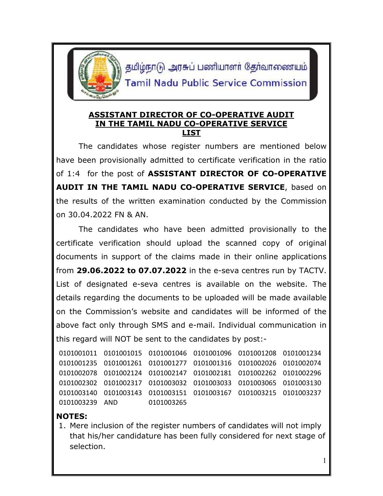

தமிழ்நாடு அரசுப் பணியாளர் தேர்வாணையம் **Tamil Nadu Public Service Commission** 

## **ASSISTANT DIRECTOR OF CO-OPERATIVE AUDIT IN THE TAMIL NADU CO-OPERATIVE SERVICE LIST**

The candidates whose register numbers are mentioned below have been provisionally admitted to certificate verification in the ratio of 1:4 for the post of **ASSISTANT DIRECTOR OF CO-OPERATIVE AUDIT IN THE TAMIL NADU CO-OPERATIVE SERVICE**, based on the results of the written examination conducted by the Commission on 30.04.2022 FN & AN.

The candidates who have been admitted provisionally to the certificate verification should upload the scanned copy of original documents in support of the claims made in their online applications from **29.06.2022 to 07.07.2022** in the e-seva centres run by TACTV. List of designated e-seva centres is available on the website. The details regarding the documents to be uploaded will be made available on the Commission's website and candidates will be informed of the above fact only through SMS and e-mail. Individual communication in this regard will NOT be sent to the candidates by post:-

```
0101001011 0101001015 0101001046 0101001096 0101001208 0101001234
0101001235 0101001261 0101001277 0101001316 0101002026 0101002074
0101002078 0101002124 0101002147 0101002181 0101002262 0101002296
0101002302 0101002317 0101003032 0101003033 0101003065 0101003130
0101003140 0101003143 0101003151 0101003167 0101003215 0101003237
0101003239 AND 0101003265
```
## **NOTES:**

1. Mere inclusion of the register numbers of candidates will not imply that his/her candidature has been fully considered for next stage of selection.